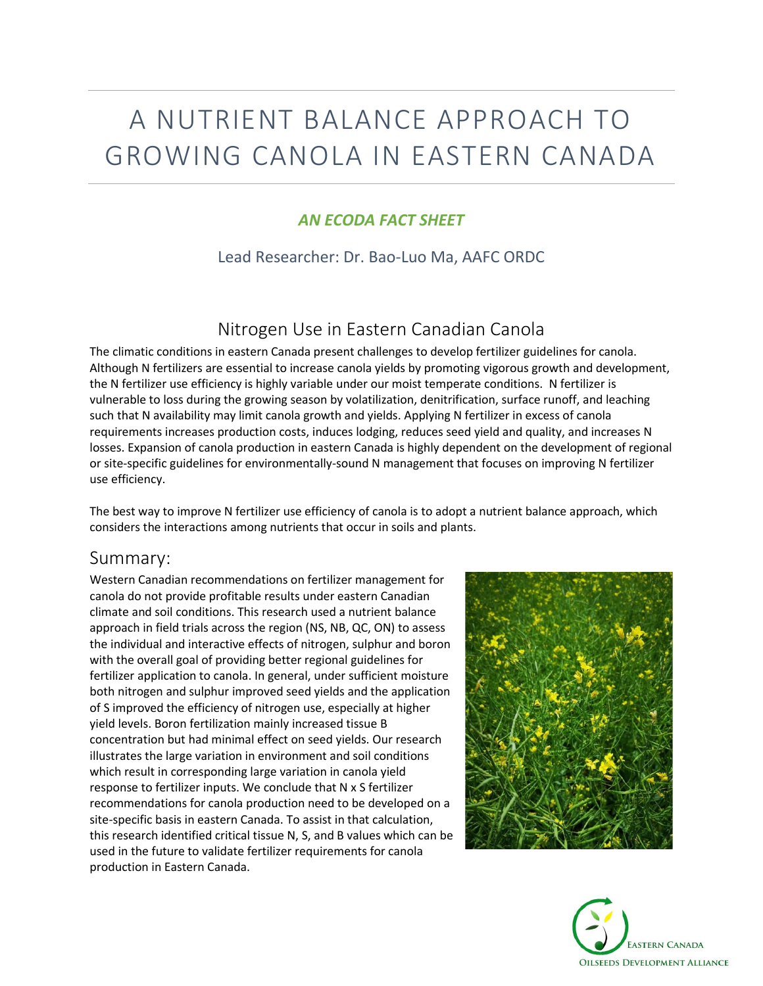# A NUTRIENT BALANCE APPROACH TO GROWING CANOLA IN EASTERN CANADA

#### *AN ECODA FACT SHEET*

Lead Researcher: Dr. Bao-Luo Ma, AAFC ORDC

# Nitrogen Use in Eastern Canadian Canola

The climatic conditions in eastern Canada present challenges to develop fertilizer guidelines for canola. Although N fertilizers are essential to increase canola yields by promoting vigorous growth and development, the N fertilizer use efficiency is highly variable under our moist temperate conditions. N fertilizer is vulnerable to loss during the growing season by volatilization, denitrification, surface runoff, and leaching such that N availability may limit canola growth and yields. Applying N fertilizer in excess of canola requirements increases production costs, induces lodging, reduces seed yield and quality, and increases N losses. Expansion of canola production in eastern Canada is highly dependent on the development of regional or site-specific guidelines for environmentally-sound N management that focuses on improving N fertilizer use efficiency.

The best way to improve N fertilizer use efficiency of canola is to adopt a nutrient balance approach, which considers the interactions among nutrients that occur in soils and plants.

#### Summary:

Western Canadian recommendations on fertilizer management for canola do not provide profitable results under eastern Canadian climate and soil conditions. This research used a nutrient balance approach in field trials across the region (NS, NB, QC, ON) to assess the individual and interactive effects of nitrogen, sulphur and boron with the overall goal of providing better regional guidelines for fertilizer application to canola. In general, under sufficient moisture both nitrogen and sulphur improved seed yields and the application of S improved the efficiency of nitrogen use, especially at higher yield levels. Boron fertilization mainly increased tissue B concentration but had minimal effect on seed yields. Our research illustrates the large variation in environment and soil conditions which result in corresponding large variation in canola yield response to fertilizer inputs. We conclude that N x S fertilizer recommendations for canola production need to be developed on a site-specific basis in eastern Canada. To assist in that calculation, this research identified critical tissue N, S, and B values which can be used in the future to validate fertilizer requirements for canola production in Eastern Canada.



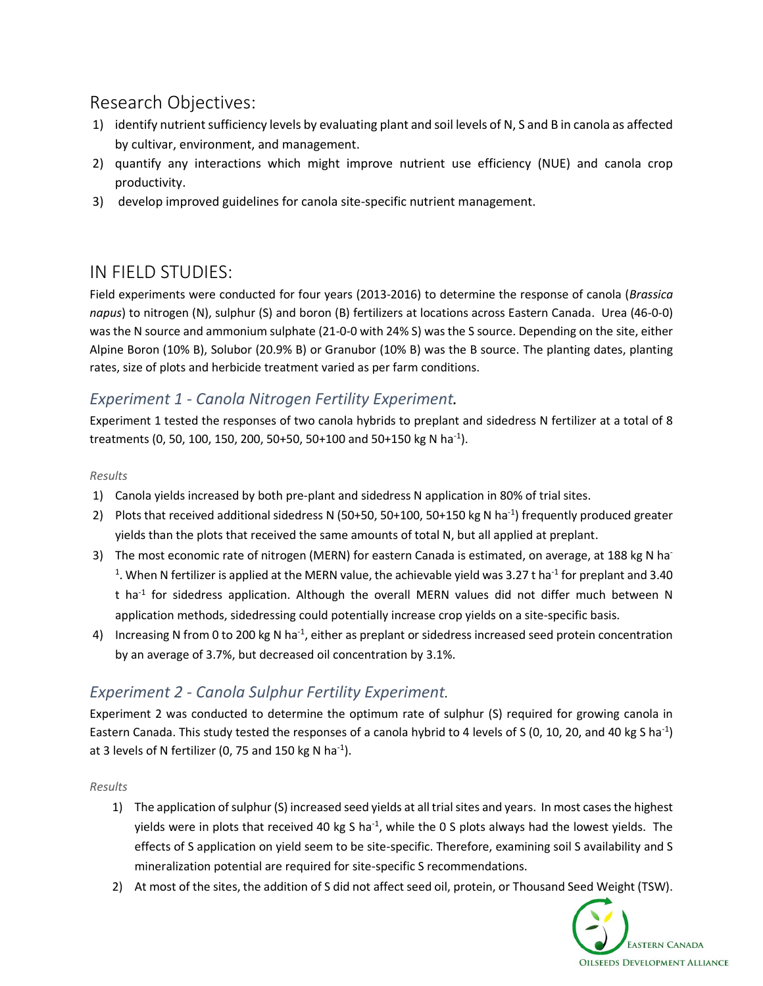# Research Objectives:

- 1) identify nutrient sufficiency levels by evaluating plant and soil levels of N, S and B in canola as affected by cultivar, environment, and management.
- 2) quantify any interactions which might improve nutrient use efficiency (NUE) and canola crop productivity.
- 3) develop improved guidelines for canola site-specific nutrient management.

# IN FIELD STUDIES:

Field experiments were conducted for four years (2013-2016) to determine the response of canola (*Brassica napus*) to nitrogen (N), sulphur (S) and boron (B) fertilizers at locations across Eastern Canada. Urea (46-0-0) was the N source and ammonium sulphate (21-0-0 with 24% S) was the S source. Depending on the site, either Alpine Boron (10% B), Solubor (20.9% B) or Granubor (10% B) was the B source. The planting dates, planting rates, size of plots and herbicide treatment varied as per farm conditions.

## *Experiment 1 - Canola Nitrogen Fertility Experiment.*

Experiment 1 tested the responses of two canola hybrids to preplant and sidedress N fertilizer at a total of 8 treatments (0, 50, 100, 150, 200, 50+50, 50+100 and 50+150 kg N ha<sup>-1</sup>).

#### *Results*

- 1) Canola yields increased by both pre-plant and sidedress N application in 80% of trial sites.
- 2) Plots that received additional sidedress N (50+50, 50+100, 50+150 kg N ha<sup>-1</sup>) frequently produced greater yields than the plots that received the same amounts of total N, but all applied at preplant.
- 3) The most economic rate of nitrogen (MERN) for eastern Canada is estimated, on average, at 188 kg N ha<sup>-</sup> <sup>1</sup>. When N fertilizer is applied at the MERN value, the achievable yield was 3.27 t ha<sup>-1</sup> for preplant and 3.40 t ha<sup>-1</sup> for sidedress application. Although the overall MERN values did not differ much between N application methods, sidedressing could potentially increase crop yields on a site-specific basis.
- 4) Increasing N from 0 to 200 kg N ha<sup>-1</sup>, either as preplant or sidedress increased seed protein concentration by an average of 3.7%, but decreased oil concentration by 3.1%.

### *Experiment 2 - Canola Sulphur Fertility Experiment.*

Experiment 2 was conducted to determine the optimum rate of sulphur (S) required for growing canola in Eastern Canada. This study tested the responses of a canola hybrid to 4 levels of S (0, 10, 20, and 40 kg S ha<sup>-1</sup>) at 3 levels of N fertilizer (0, 75 and 150 kg N ha<sup>-1</sup>).

#### *Results*

- 1) The application of sulphur (S) increased seed yields at all trial sites and years. In most cases the highest yields were in plots that received 40 kg S ha<sup>-1</sup>, while the 0 S plots always had the lowest yields. The effects of S application on yield seem to be site-specific. Therefore, examining soil S availability and S mineralization potential are required for site-specific S recommendations.
- 2) At most of the sites, the addition of S did not affect seed oil, protein, or Thousand Seed Weight (TSW).

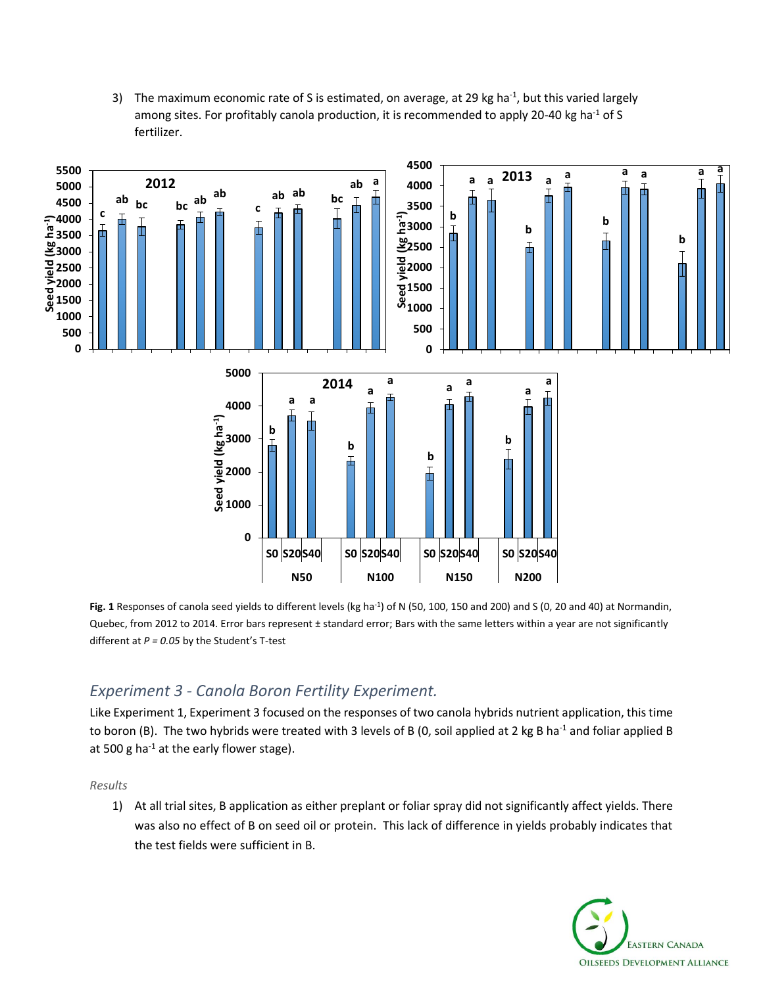3) The maximum economic rate of S is estimated, on average, at 29 kg ha $^{-1}$ , but this varied largely among sites. For profitably canola production, it is recommended to apply 20-40 kg ha<sup>-1</sup> of S fertilizer.



Fig. 1 Responses of canola seed yields to different levels (kg ha<sup>-1</sup>) of N (50, 100, 150 and 200) and S (0, 20 and 40) at Normandin, Quebec, from 2012 to 2014. Error bars represent ± standard error; Bars with the same letters within a year are not significantly different at *P = 0.05* by the Student's T-test

#### *Experiment 3 - Canola Boron Fertility Experiment.*

Like Experiment 1, Experiment 3 focused on the responses of two canola hybrids nutrient application, this time to boron (B). The two hybrids were treated with 3 levels of B (0, soil applied at 2 kg B ha<sup>-1</sup> and foliar applied B at 500 g ha $^{-1}$  at the early flower stage).

*Results*

1) At all trial sites, B application as either preplant or foliar spray did not significantly affect yields. There was also no effect of B on seed oil or protein. This lack of difference in yields probably indicates that the test fields were sufficient in B.